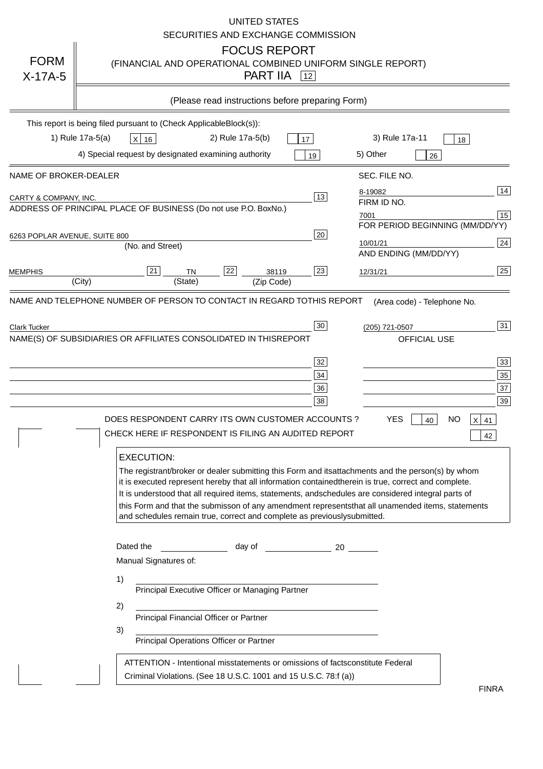| <b>FORM</b><br>$X-17A-5$      | UNITED STATES<br>SECURITIES AND EXCHANGE COMMISSION<br><b>FOCUS REPORT</b><br>(FINANCIAL AND OPERATIONAL COMBINED UNIFORM SINGLE REPORT)<br><b>PART IIA</b> $\boxed{12}$                                                                                                                                                                                                                                                                                                                                                                                                                                                                                                                                                                                        |
|-------------------------------|-----------------------------------------------------------------------------------------------------------------------------------------------------------------------------------------------------------------------------------------------------------------------------------------------------------------------------------------------------------------------------------------------------------------------------------------------------------------------------------------------------------------------------------------------------------------------------------------------------------------------------------------------------------------------------------------------------------------------------------------------------------------|
|                               | (Please read instructions before preparing Form)                                                                                                                                                                                                                                                                                                                                                                                                                                                                                                                                                                                                                                                                                                                |
|                               | This report is being filed pursuant to (Check Applicable<br>$Block(s)$ :<br>1) Rule 17a-5(a)<br>2) Rule 17a-5(b)<br>3) Rule 17a-11<br>$X$ 16<br>17<br>18<br>4) Special request by designated examining authority<br>5) Other<br>19<br>26                                                                                                                                                                                                                                                                                                                                                                                                                                                                                                                        |
| NAME OF BROKER-DEALER         | SEC. FILE NO.                                                                                                                                                                                                                                                                                                                                                                                                                                                                                                                                                                                                                                                                                                                                                   |
| CARTY & COMPANY, INC.         | 14<br>8-19082<br>13<br>FIRM ID NO.<br>ADDRESS OF PRINCIPAL PLACE OF BUSINESS (Do not use P.O. Box<br>No.)<br>15<br>7001<br>FOR PERIOD BEGINNING (MM/DD/YY)                                                                                                                                                                                                                                                                                                                                                                                                                                                                                                                                                                                                      |
| 6263 POPLAR AVENUE, SUITE 800 | 20<br>24<br>10/01/21<br>(No. and Street)<br>AND ENDING (MM/DD/YY)                                                                                                                                                                                                                                                                                                                                                                                                                                                                                                                                                                                                                                                                                               |
| <b>MEMPHIS</b>                | 22<br>25<br>21<br>23<br><b>TN</b><br>38119<br>12/31/21<br>(City)<br>(State)<br>(Zip Code)                                                                                                                                                                                                                                                                                                                                                                                                                                                                                                                                                                                                                                                                       |
| <b>Clark Tucker</b>           | 31<br>30<br>(205) 721-0507<br>NAME(S) OF SUBSIDIARIES OR AFFILIATES CONSOLIDATED IN THIS<br><b>REPORT</b><br>OFFICIAL USE<br>33<br>32<br>35<br>34<br>37<br>36<br>39<br>38<br><b>YES</b><br>DOES RESPONDENT CARRY ITS OWN CUSTOMER ACCOUNTS ?<br><b>NO</b><br>$ X $ 41<br>40<br>CHECK HERE IF RESPONDENT IS FILING AN AUDITED REPORT<br>42                                                                                                                                                                                                                                                                                                                                                                                                                       |
|                               | <b>EXECUTION:</b><br>The registrant/broker or dealer submitting this Form and its<br>attachments and the person(s) by whom<br>it is executed represent hereby that all information contained<br>therein is true, correct and complete.<br>It is understood that all required items, statements, and<br>schedules are considered integral parts of<br>that all unamended items, statements<br>this Form and that the submisson of any amendment represents<br>and schedules remain true, correct and complete as previously<br>submitted.<br>Dated the<br>day of<br>$\sim$ 20<br>Manual Signatures of:<br>1)<br>Principal Executive Officer or Managing Partner<br>2)<br>Principal Financial Officer or Partner<br>3)<br>Principal Operations Officer or Partner |
|                               | constitute Federal<br>ATTENTION - Intentional misstatements or omissions of facts<br>Criminal Violations. (See 18 U.S.C. 1001 and 15 U.S.C. 78:f (a)<br><b>FINRA</b>                                                                                                                                                                                                                                                                                                                                                                                                                                                                                                                                                                                            |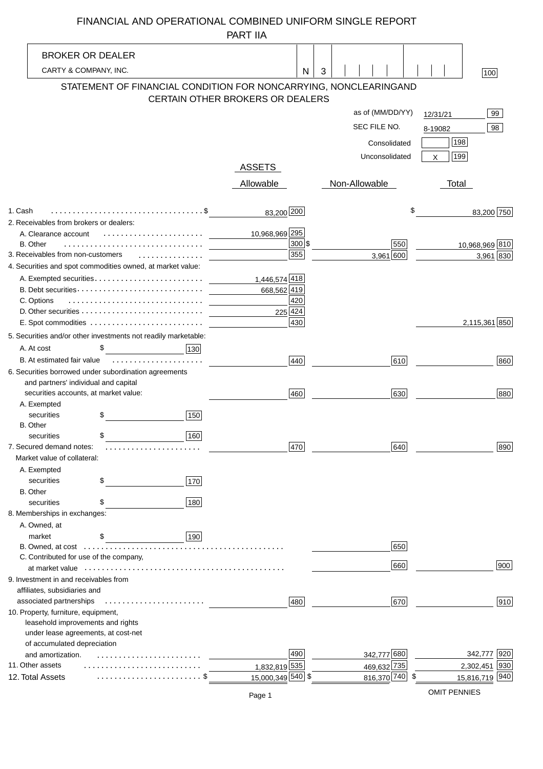# FINANCIAL AND OPERATIONAL COMBINED UNIFORM SINGLE REPORT

|                                                                |                                                                |     | <b>PART IIA</b>                  |               |   |                  |     |            |                |
|----------------------------------------------------------------|----------------------------------------------------------------|-----|----------------------------------|---------------|---|------------------|-----|------------|----------------|
| <b>BROKER OR DEALER</b>                                        |                                                                |     |                                  |               |   |                  |     |            |                |
| CARTY & COMPANY, INC.                                          |                                                                |     |                                  | N             | 3 |                  |     |            |                |
|                                                                |                                                                |     |                                  |               |   |                  |     |            | 100            |
|                                                                | STATEMENT OF FINANCIAL CONDITION FOR NONCARRYING, NONCLEARING  |     |                                  |               |   |                  |     | <b>AND</b> |                |
|                                                                |                                                                |     | CERTAIN OTHER BROKERS OR DEALERS |               |   |                  |     |            |                |
|                                                                |                                                                |     |                                  |               |   | as of (MM/DD/YY) |     | 12/31/21   | 99             |
|                                                                |                                                                |     |                                  |               |   | SEC FILE NO.     |     | 8-19082    | 98             |
|                                                                |                                                                |     |                                  |               |   | Consolidated     |     | 198        |                |
|                                                                |                                                                |     |                                  |               |   | Unconsolidated   |     | 199<br>X   |                |
|                                                                |                                                                |     | <b>ASSETS</b>                    |               |   |                  |     |            |                |
|                                                                |                                                                |     | Allowable                        |               |   | Non-Allowable    |     | Total      |                |
|                                                                |                                                                |     |                                  |               |   |                  |     |            |                |
| 1. Cash                                                        |                                                                |     | 83,200 200                       |               |   |                  |     | \$         | 83,200 750     |
| 2. Receivables from brokers or dealers:                        |                                                                |     |                                  |               |   |                  |     |            |                |
| A. Clearance account                                           |                                                                |     | 10,968,969 295                   |               |   |                  |     |            |                |
| B. Other                                                       |                                                                |     |                                  | 300 \$<br>355 |   |                  | 550 |            | 10,968,969 810 |
| 3. Receivables from non-customers                              | .                                                              |     |                                  |               |   | 3,961 600        |     |            | 3,961 830      |
|                                                                | 4. Securities and spot commodities owned, at market value:     |     |                                  |               |   |                  |     |            |                |
|                                                                |                                                                |     | 1,446,574 418<br>668,562 419     |               |   |                  |     |            |                |
| C. Options                                                     |                                                                |     |                                  | 420           |   |                  |     |            |                |
|                                                                |                                                                |     |                                  | 225 424       |   |                  |     |            |                |
|                                                                |                                                                |     |                                  | 430           |   |                  |     |            | 2,115,361 850  |
|                                                                | 5. Securities and/or other investments not readily marketable: |     |                                  |               |   |                  |     |            |                |
| A. At cost                                                     | \$                                                             | 130 |                                  |               |   |                  |     |            |                |
| B. At estimated fair value                                     |                                                                |     |                                  | 440           |   |                  | 610 |            | 860            |
| 6. Securities borrowed under subordination agreements          |                                                                |     |                                  |               |   |                  |     |            |                |
| and partners' individual and capital                           |                                                                |     |                                  |               |   |                  |     |            |                |
| securities accounts, at market value:                          |                                                                |     |                                  | 460           |   |                  | 630 |            | 880            |
| A. Exempted                                                    |                                                                |     |                                  |               |   |                  |     |            |                |
| securities                                                     | \$                                                             | 150 |                                  |               |   |                  |     |            |                |
| <b>B.</b> Other                                                |                                                                |     |                                  |               |   |                  |     |            |                |
| securities                                                     | \$                                                             | 160 |                                  |               |   |                  |     |            |                |
| 7. Secured demand notes:                                       |                                                                |     |                                  | 470           |   |                  | 640 |            | 890            |
| Market value of collateral:                                    |                                                                |     |                                  |               |   |                  |     |            |                |
| A. Exempted<br>securities                                      | \$                                                             | 170 |                                  |               |   |                  |     |            |                |
| <b>B.</b> Other                                                |                                                                |     |                                  |               |   |                  |     |            |                |
| securities                                                     | \$                                                             | 180 |                                  |               |   |                  |     |            |                |
| 8. Memberships in exchanges:                                   |                                                                |     |                                  |               |   |                  |     |            |                |
| A. Owned, at                                                   |                                                                |     |                                  |               |   |                  |     |            |                |
| market                                                         | \$                                                             | 190 |                                  |               |   |                  |     |            |                |
| B. Owned, at cost                                              |                                                                |     |                                  |               |   |                  | 650 |            |                |
| C. Contributed for use of the company,                         |                                                                |     |                                  |               |   |                  | 660 |            | 900            |
|                                                                |                                                                |     |                                  |               |   |                  |     |            |                |
| 9. Investment in and receivables from                          |                                                                |     |                                  |               |   |                  |     |            |                |
| affiliates, subsidiaries and                                   |                                                                |     |                                  |               |   |                  |     |            | 910            |
| associated partnerships<br>10. Property, furniture, equipment, |                                                                |     |                                  | 480           |   |                  | 670 |            |                |
| leasehold improvements and rights                              |                                                                |     |                                  |               |   |                  |     |            |                |
| under lease agreements, at cost-net                            |                                                                |     |                                  |               |   |                  |     |            |                |
| of accumulated depreciation                                    |                                                                |     |                                  |               |   |                  |     |            |                |
| and amortization.                                              |                                                                |     |                                  | 490           |   | 342,777 680      |     |            | 920<br>342,777 |
| 11. Other assets                                               |                                                                |     | 1,832,819 535                    |               |   | 469,632 735      |     |            | 2,302,451 930  |
| 12. Total Assets                                               |                                                                |     | 15,000,349 540 \$                |               |   | 816,370 740 \$   |     |            | 15,816,719 940 |

OMIT PENNIES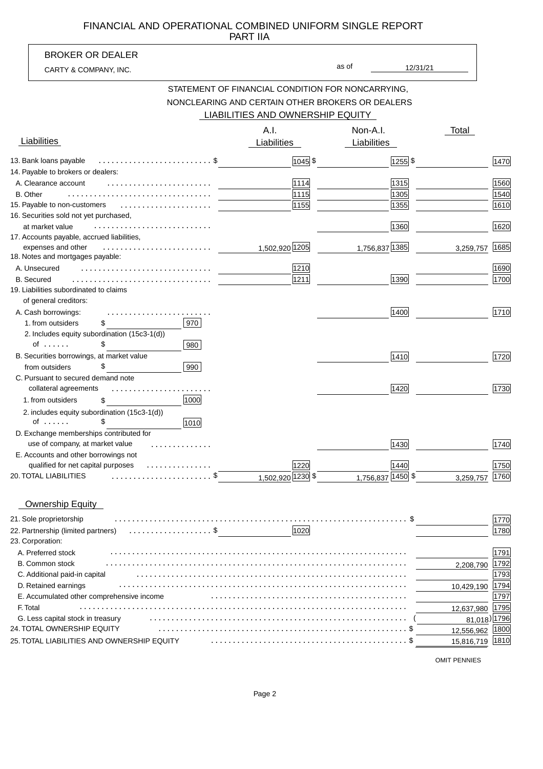#### PART IIA FINANCIAL AND OPERATIONAL COMBINED UNIFORM SINGLE REPORT

|                                                             | <b>PARTIA</b>                                     |             |                  |            |                   |
|-------------------------------------------------------------|---------------------------------------------------|-------------|------------------|------------|-------------------|
| <b>BROKER OR DEALER</b>                                     |                                                   |             |                  |            |                   |
| CARTY & COMPANY, INC.                                       |                                                   | as of       | 12/31/21         |            |                   |
|                                                             | STATEMENT OF FINANCIAL CONDITION FOR NONCARRYING, |             |                  |            |                   |
|                                                             | NONCLEARING AND CERTAIN OTHER BROKERS OR DEALERS  |             |                  |            |                   |
|                                                             | LIABILITIES AND OWNERSHIP EQUITY                  |             |                  |            |                   |
|                                                             |                                                   |             |                  |            |                   |
|                                                             | A.I.                                              | Non-A.I.    |                  | Total      |                   |
| Liabilities                                                 | Liabilities                                       | Liabilities |                  |            |                   |
| 13. Bank loans payable                                      | $1045$ \$                                         |             | $\sqrt{1255}$ \$ |            | 1470              |
| 14. Payable to brokers or dealers:                          |                                                   |             |                  |            |                   |
| A. Clearance account                                        | 1114                                              |             | 1315             |            | 1560              |
| <b>B.</b> Other                                             | 1115                                              |             | 1305             |            | 1540              |
| 15. Payable to non-customers                                | 1155                                              |             | 1355             |            | 1610              |
| 16. Securities sold not yet purchased,                      |                                                   |             |                  |            |                   |
| at market value                                             |                                                   |             | 1360             |            | 1620              |
| 17. Accounts payable, accrued liabilities,                  |                                                   |             |                  |            |                   |
| expenses and other<br>.                                     | 1,502,920 1205                                    |             | 1,756,837 1385   | 3,259,757  | 1685              |
| 18. Notes and mortgages payable:                            |                                                   |             |                  |            |                   |
| A. Unsecured                                                | 1210                                              |             |                  |            | 1690              |
| <b>B.</b> Secured<br>19. Liabilities subordinated to claims | 1211                                              |             | 1390             |            | 1700              |
| of general creditors:                                       |                                                   |             |                  |            |                   |
| A. Cash borrowings:                                         |                                                   |             | 1400             |            | 1710              |
| .<br>970<br>1. from outsiders<br>\$                         |                                                   |             |                  |            |                   |
| 2. Includes equity subordination (15c3-1(d))                |                                                   |             |                  |            |                   |
| \$<br>of $\ldots$<br>980                                    |                                                   |             |                  |            |                   |
| B. Securities borrowings, at market value                   |                                                   |             | 1410             |            | 1720              |
| 990<br>\$<br>from outsiders                                 |                                                   |             |                  |            |                   |
| C. Pursuant to secured demand note                          |                                                   |             |                  |            |                   |
| collateral agreements<br>.                                  |                                                   |             | 1420             |            | 1730              |
| 1000<br>1. from outsiders<br>\$                             |                                                   |             |                  |            |                   |
| 2. includes equity subordination (15c3-1(d))                |                                                   |             |                  |            |                   |
| \$<br>of $\ldots$ .<br>1010                                 |                                                   |             |                  |            |                   |
| D. Exchange memberships contributed for                     |                                                   |             |                  |            |                   |
| use of company, at market value                             |                                                   |             | 1430             |            | $\overline{1740}$ |
| E. Accounts and other borrowings not                        |                                                   |             |                  |            |                   |
| qualified for net capital purposes                          | 1220                                              |             | 1440             |            | 1750              |
| 20. TOTAL LIABILITIES                                       | 1,502,920 1230 \$                                 | 1,756,837   | 1450             | 3,259,757  | 1760              |
|                                                             |                                                   |             |                  |            |                   |
| <b>Ownership Equity</b>                                     |                                                   |             |                  |            |                   |
| 21. Sole proprietorship                                     |                                                   |             |                  |            | 1770              |
| 22. Partnership (limited partners)<br>.                     | 1020                                              |             |                  |            | 1780              |
| 23. Corporation:                                            |                                                   |             |                  |            |                   |
| A. Preferred stock                                          |                                                   |             |                  |            | 1791              |
| <b>B. Common stock</b>                                      |                                                   |             |                  | 2,208,790  | <u> 1792</u>      |
| C. Additional paid-in capital                               |                                                   |             |                  |            | 1793              |
| D. Retained earnings                                        |                                                   |             |                  | 10,429,190 | 1794              |
| E. Accumulated other comprehensive income                   |                                                   |             |                  |            | 1797              |
| F. Total<br>.                                               |                                                   |             |                  | 12,637,980 | 1795              |
| G. Less capital stock in treasury                           |                                                   |             |                  | 81,018     | 1796              |
| 24. TOTAL OWNERSHIP EQUITY                                  |                                                   |             |                  | 12,556,962 | 1800              |
| 25. TOTAL LIABILITIES AND OWNERSHIP EQUITY                  |                                                   |             |                  | 15,816,719 | 1810              |

OMIT PENNIES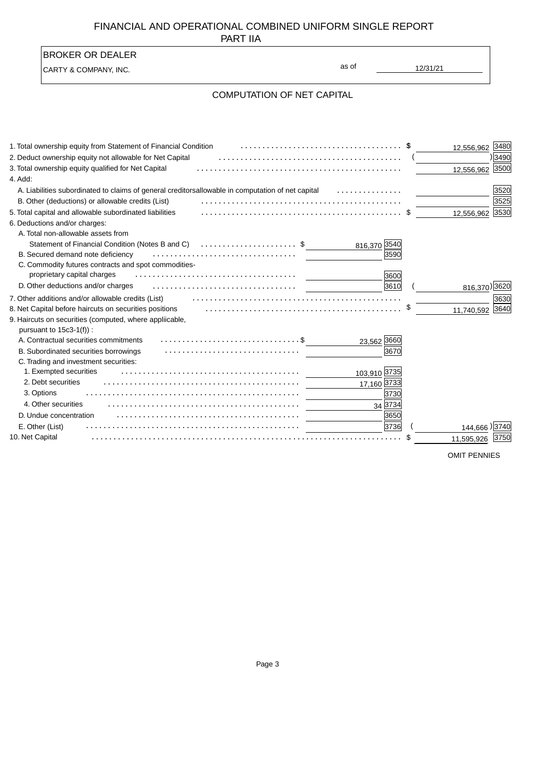### FINANCIAL AND OPERATIONAL COMBINED UNIFORM SINGLE REPORT PART IIA

| <b>BROKER OR DEALER</b>                                         |                                         |                     |
|-----------------------------------------------------------------|-----------------------------------------|---------------------|
| CARTY & COMPANY, INC.                                           | as of<br>12/31/21                       |                     |
|                                                                 | <b>COMPUTATION OF NET CAPITAL</b>       |                     |
| 1. Total ownership equity from Statement of Financial Condition |                                         | 3480                |
| 2. Deduct ownership equity not allowable for Net Capital        |                                         | 12,556,962<br>3490  |
| 3. Total ownership equity qualified for Net Capital             |                                         | 3500<br>12,556,962  |
| 4. Add:                                                         |                                         |                     |
| A. Liabilities subordinated to claims of general creditors      | allowable in computation of net capital | 3520                |
| B. Other (deductions) or allowable credits (List)               |                                         | 3525                |
| 5. Total capital and allowable subordinated liabilities         |                                         | 3530<br>12,556,962  |
| 6. Deductions and/or charges:                                   |                                         |                     |
| A. Total non-allowable assets from                              |                                         |                     |
| Statement of Financial Condition (Notes B and C) \$             | 816,370 3540                            |                     |
| B. Secured demand note deficiency                               | 3590                                    |                     |
| C. Commodity futures contracts and spot commodities-            |                                         |                     |
| proprietary capital charges                                     | 3600                                    |                     |
| D. Other deductions and/or charges                              | 3610                                    | 816,370) 3620       |
| 7. Other additions and/or allowable credits (List)              |                                         | 3630                |
| 8. Net Capital before haircuts on securities positions          |                                         | 3640<br>11,740,592  |
| 9. Haircuts on securities (computed, where appliicable,         |                                         |                     |
| pursuant to 15c3-1(f)):                                         |                                         |                     |
| A. Contractual securities commitments                           | 23,562 3660                             |                     |
| B. Subordinated securities borrowings                           | 3670                                    |                     |
| C. Trading and investment securities:<br>1. Exempted securities |                                         |                     |
| 2. Debt securities                                              | 103,910 3735                            |                     |
| 3. Options                                                      | 17,160 3733                             |                     |
| 4. Other securities                                             | 3730                                    |                     |
|                                                                 | 34 3734                                 |                     |
| D. Undue concentration                                          | 3650                                    |                     |
| E. Other (List)                                                 | 3736                                    | 3740<br>144.666     |
| 10. Net Capital                                                 |                                         | 11,595,926<br>1375C |
|                                                                 |                                         |                     |

OMIT PENNIES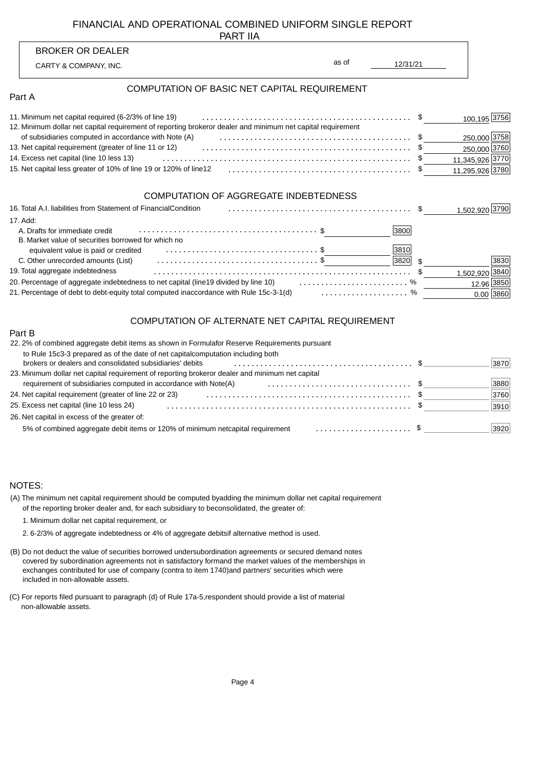## FINANCIAL AND OPERATIONAL COMBINED UNIFORM SINGLE REPORT

PART IIA

| <b>PARTIA</b>                                                                                                                                                        |                   |                 |
|----------------------------------------------------------------------------------------------------------------------------------------------------------------------|-------------------|-----------------|
| <b>BROKER OR DEALER</b>                                                                                                                                              |                   |                 |
| CARTY & COMPANY, INC.                                                                                                                                                | as of<br>12/31/21 |                 |
| COMPUTATION OF BASIC NET CAPITAL REQUIREMENT<br>Part A                                                                                                               |                   |                 |
|                                                                                                                                                                      |                   |                 |
| 11. Minimum net capital required (6-2/3% of line 19)<br>12. Minimum dollar net capital requirement of reporting broker or dealer and minimum net capital requirement |                   | 100,195 3756    |
| of subsidiaries computed in accordance with Note (A)                                                                                                                 |                   | 250,000 3758    |
| 13. Net capital requirement (greater of line 11 or 12) expansive example and the capital requirement (greater of line 11 or 12)                                      |                   | 250,000 3760    |
| 14. Excess net capital (line 10 less 13)                                                                                                                             |                   | 11,345,926 3770 |
|                                                                                                                                                                      |                   | 11,295,926 3780 |
| <b>COMPUTATION OF AGGREGATE INDEBTEDNESS</b>                                                                                                                         |                   |                 |
| 16. Total A.I. liabilities from Statement of Financial<br>Condition                                                                                                  |                   | 1,502,920 3790  |
| 17. Add:                                                                                                                                                             |                   |                 |
| A. Drafts for immediate credit                                                                                                                                       | 3800              |                 |
| B. Market value of securities borrowed for which no                                                                                                                  |                   |                 |
| equivalent value is paid or credited expansion of the state of $\frac{1}{2}$                                                                                         | 3810              |                 |
| C. Other unrecorded amounts (List) example in the set of the set of $\frac{1}{2}$                                                                                    | 3820              | 3830            |
| 19. Total aggregate indebtedness                                                                                                                                     |                   | 1,502,920 3840  |
| 20. Percentage of aggregate indebtedness to net capital (line 19 divided by line 10)  %                                                                              |                   | 12.96 3850      |

21. Percentage of debt to debt-equity total computed in accordance with Rule 15c-3-1(d) with current content to the

#### COMPUTATION OF ALTERNATE NET CAPITAL REQUIREMENT

0.00 3860

| Part B                                                                                                                                       |      |
|----------------------------------------------------------------------------------------------------------------------------------------------|------|
| 22.2% of combined aggregate debit items as shown in Formula for Reserve Requirements pursuant                                                |      |
| to Rule 15c3-3 prepared as of the date of net capital computation including both<br>brokers or dealers and consolidated subsidiaries' debits | 3870 |
| or dealer and minimum net capital<br>23. Minimum dollar net capital requirement of reporting broker                                          |      |
| requirement of subsidiaries computed in accordance with Note                                                                                 | 3880 |
| 24. Net capital requirement (greater of line 22 or 23)                                                                                       | 3760 |
| 25. Excess net capital (line 10 less 24)                                                                                                     | 3910 |
| 26. Net capital in excess of the greater of:                                                                                                 |      |
| capital requirement \$<br>5% of combined aggregate debit items or 120% of minimum net                                                        | 3920 |

#### NOTES:

| (A) The minimum net capital requirement should be computed by adding the minimum dollar net capital requirement |  |
|-----------------------------------------------------------------------------------------------------------------|--|
| of the reporting broker dealer and, for each subsidiary to be consolidated, the greater of:                     |  |

1. Minimum dollar net capital requirement, or

- 2. 6-2/3% of aggregate indebtedness or 4% of aggregate debits if alternative method is used.
- (B) Do not deduct the value of securities borrowed under subordination agreements or secured demand notes included in non-allowable assets. exchanges contributed for use of company (contra to item 1740) and partners' securities which were covered by subordination agreements not in satisfactory form and the market values of the memberships in
- (C) For reports filed pursuant to paragraph (d) of Rule 17a-5, respondent should provide a list of material non-allowable assets.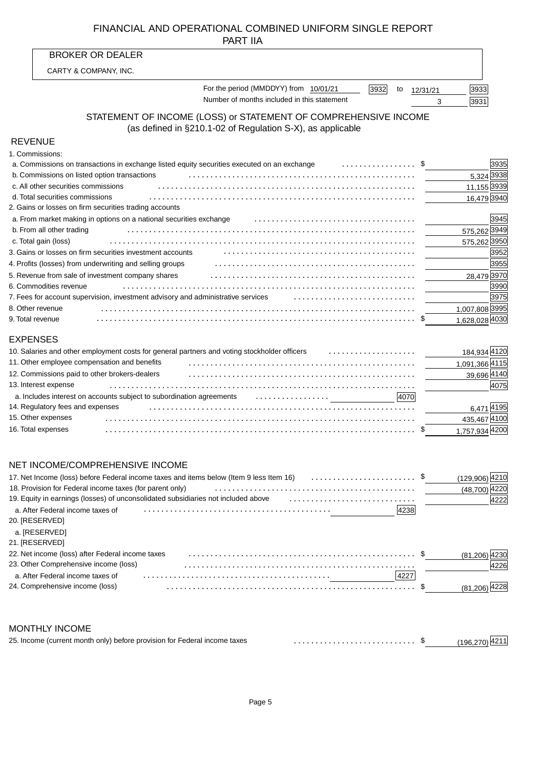## FINANCIAL AND OPERATIONAL COMBINED UNIFORM SINGLE REPORT PART IIA

|                 | PART IIA                                                                                                                                       |                        |            |
|-----------------|------------------------------------------------------------------------------------------------------------------------------------------------|------------------------|------------|
|                 | <b>BROKER OR DEALER</b>                                                                                                                        |                        |            |
|                 | CARTY & COMPANY, INC.                                                                                                                          |                        |            |
|                 | For the period (MMDDYY) from 10/01/21<br>3932<br>to                                                                                            | 3933<br>12/31/21       |            |
|                 | Number of months included in this statement                                                                                                    | 3931<br>3              |            |
|                 | STATEMENT OF INCOME (LOSS) or STATEMENT OF COMPREHENSIVE INCOME<br>(as defined in §210.1-02 of Regulation S-X), as applicable                  |                        |            |
| <b>REVENUE</b>  |                                                                                                                                                |                        |            |
|                 | 1. Commissions:                                                                                                                                |                        |            |
|                 | . \$<br>a. Commissions on transactions in exchange listed equity securities executed on an exchange                                            |                        | 3935       |
|                 | b. Commissions on listed option transactions                                                                                                   |                        | 5,324 3938 |
|                 | c. All other securities commissions                                                                                                            | 11,155 <sup>3939</sup> |            |
|                 | d. Total securities commissions                                                                                                                | 16,479 3940            |            |
|                 | 2. Gains or losses on firm securities trading accounts                                                                                         |                        |            |
|                 | a. From market making in options on a national securities exchange example and intervent container and the second                              |                        | 3945       |
|                 | b. From all other trading                                                                                                                      | 575,262 3949           |            |
|                 | c. Total gain (loss)                                                                                                                           | 575,262 3950           |            |
|                 | 3. Gains or losses on firm securities investment accounts entitled and contain the set of the securities of the securities investment accounts |                        | 3952       |
|                 | 4. Profits (losses) from underwriting and selling groups                                                                                       |                        | 3955       |
|                 | 5. Revenue from sale of investment company shares                                                                                              | 28,479 3970            |            |
|                 | 6. Commodities revenue                                                                                                                         |                        | 3990       |
|                 |                                                                                                                                                |                        | 3975       |
|                 | 8. Other revenue                                                                                                                               | 1,007,808 3995         |            |
|                 | 9. Total revenue                                                                                                                               | 1,628,028 4030         |            |
| <b>EXPENSES</b> |                                                                                                                                                |                        |            |
|                 | 10. Salaries and other employment costs for general partners and voting stockholder officers                                                   | 184,934 4120           |            |
|                 | 11. Other employee compensation and benefits                                                                                                   | 1,091,366 4115         |            |
|                 | 12. Commissions paid to other brokers-dealers                                                                                                  | 39,696 4140            |            |
|                 | 13. Interest expense                                                                                                                           |                        | 4075       |
|                 | a. Includes interest on accounts subject to subordination agreements <i>also conserved</i> in the set of the set of the<br>4070                |                        |            |
|                 | 14. Regulatory fees and expenses                                                                                                               |                        | 6,471 4195 |
|                 |                                                                                                                                                |                        |            |

## NET INCOME/COMPREHENSIVE INCOME

| 17. Net Income (loss) before Federal income taxes and items below (Item 9 less Item 16)<br>18. Provision for Federal income taxes (for parent only)<br>19. Equity in earnings (losses) of unconsolidated subsidiaries not included above<br>a. After Federal income taxes of<br>4238 | (129.906)<br>(48,700) |
|--------------------------------------------------------------------------------------------------------------------------------------------------------------------------------------------------------------------------------------------------------------------------------------|-----------------------|
| 20. [RESERVED]<br>a. [RESERVED]                                                                                                                                                                                                                                                      |                       |
| 21. [RESERVED]                                                                                                                                                                                                                                                                       |                       |
| 22. Net income (loss) after Federal income taxes                                                                                                                                                                                                                                     | (81.206)              |
| 23. Other Comprehensive income (loss)                                                                                                                                                                                                                                                | 4226                  |
| a. After Federal income taxes of<br>4227                                                                                                                                                                                                                                             |                       |
| 24. Comprehensive income (loss)                                                                                                                                                                                                                                                      |                       |

....................................................................... 15. Other expenses

1,757,934 4200 ....................................................................... \$

435,467 4100

### MONTHLY INCOME

16. Total expenses

| 25. Income (current month only) before provision for Federal income taxes |  |  |
|---------------------------------------------------------------------------|--|--|
|---------------------------------------------------------------------------|--|--|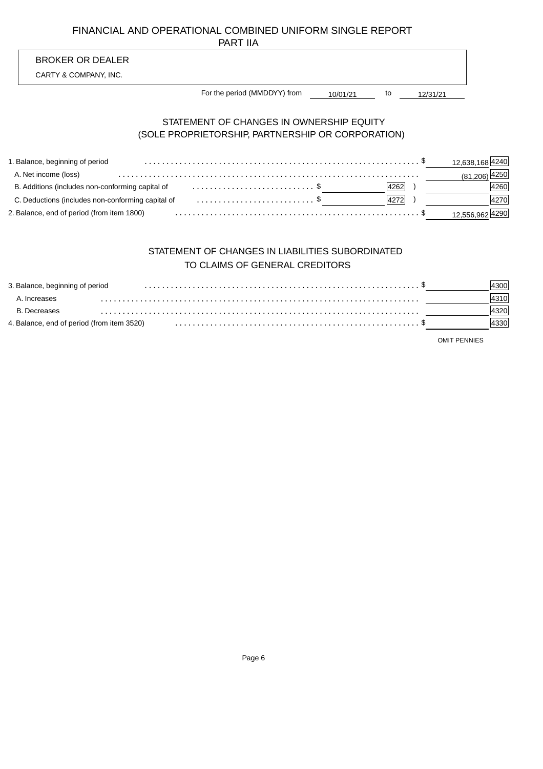## FINANCIAL AND OPERATIONAL COMBINED UNIFORM SINGLE REPORT PART IIA

## BROKER OR DEALER

CARTY & COMPANY, INC.

10/01/21 to 12/31/21 For the period (MMDDYY) from

### STATEMENT OF CHANGES IN OWNERSHIP EQUITY (SOLE PROPRIETORSHIP, PARTNERSHIP OR CORPORATION)

| 1. Balance, beginning of period                                                             |      | 12,638,168 4240               |
|---------------------------------------------------------------------------------------------|------|-------------------------------|
| A. Net income (loss)                                                                        |      | $(81,206)$ <sup>[4250</sup> ] |
| B. Additions (includes non-conforming capital of                                            | 4262 | 4260                          |
| C. Deductions (includes non-conforming capital of entertainment in the set of $\frac{1}{2}$ | 4272 | 4270                          |
| 2. Balance, end of period (from item 1800)                                                  |      | 12,556,962 4290               |

## STATEMENT OF CHANGES IN LIABILITIES SUBORDINATED TO CLAIMS OF GENERAL CREDITORS

| 3. Balance, beginning of period            |  |  |
|--------------------------------------------|--|--|
| A. Increases                               |  |  |
| B. Decreases                               |  |  |
| 4. Balance, end of period (from item 3520) |  |  |

OMIT PENNIES